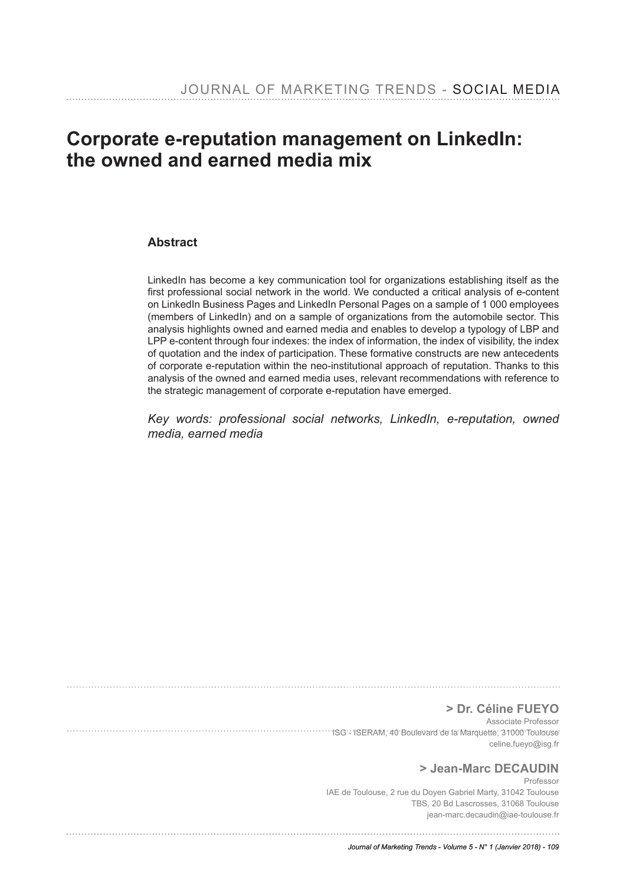# **Corporate e-reputation management on LinkedIn: the owned and earned media mix**

# **Abstract**

LinkedIn has become a key communication tool for organizations establishing itself as the first professional social network in the world. We conducted a critical analysis of e-content on LinkedIn Business Pages and LinkedIn Personal Pages on a sample of 1 000 employees (members of LinkedIn) and on a sample of organizations from the automobile sector. This analysis highlights owned and earned media and enables to develop a typology of LBP and LPP e-content through four indexes: the index of information, the index of visibility, the index of quotation and the index of participation. These formative constructs are new antecedents of corporate e-reputation within the neo-institutional approach of reputation. Thanks to this analysis of the owned and earned media uses, relevant recommendations with reference to the strategic management of corporate e-reputation have emerged.

*Key words: professional social networks, LinkedIn, e-reputation, owned media, earned media*

**> Dr. Céline FUEYO** 

Associate Professor ISG - ISERAM, 40 Boulevard de la Marquette, 31000 Toulouse celine.fueyo@isg.fr

# **> Jean-Marc DECAUDIN**

Professor IAE de Toulouse, 2 rue du Doyen Gabriel Marty, 31042 Toulouse TBS, 20 Bd Lascrosses, 31068 Toulouse jean-marc.decaudin@iae-toulouse.fr

*Journal of Marketing Trends - Volume 5 - N° 1 (Janvier 2018) - 109*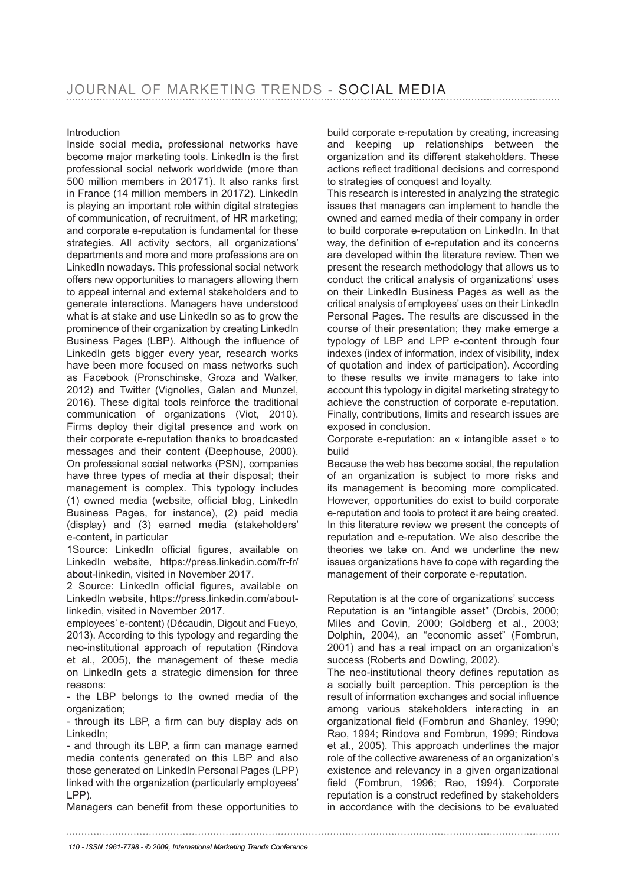Introduction

Inside social media, professional networks have become major marketing tools. LinkedIn is the first professional social network worldwide (more than 500 million members in 20171). It also ranks frst in France (14 million members in 20172). LinkedIn is playing an important role within digital strategies of communication, of recruitment, of HR marketing; and corporate e-reputation is fundamental for these strategies. All activity sectors, all organizations' departments and more and more professions are on LinkedIn nowadays. This professional social network offers new opportunities to managers allowing them to appeal internal and external stakeholders and to generate interactions. Managers have understood what is at stake and use LinkedIn so as to grow the prominence of their organization by creating LinkedIn Business Pages (LBP). Although the infuence of LinkedIn gets bigger every year, research works have been more focused on mass networks such as Facebook (Pronschinske, Groza and Walker, 2012) and Twitter (Vignolles, Galan and Munzel, 2016). These digital tools reinforce the traditional communication of organizations (Viot, 2010). Firms deploy their digital presence and work on their corporate e-reputation thanks to broadcasted messages and their content (Deephouse, 2000). On professional social networks (PSN), companies have three types of media at their disposal; their management is complex. This typology includes (1) owned media (website, official blog, LinkedIn Business Pages, for instance), (2) paid media (display) and (3) earned media (stakeholders' e-content, in particular

1Source: LinkedIn official figures, available on LinkedIn website, https://press.linkedin.com/fr-fr/ about-linkedin, visited in November 2017.

2 Source: LinkedIn official figures, available on LinkedIn website, https://press.linkedin.com/aboutlinkedin, visited in November 2017.

employees' e-content) (Décaudin, Digout and Fueyo, 2013). According to this typology and regarding the neo-institutional approach of reputation (Rindova et al., 2005), the management of these media on LinkedIn gets a strategic dimension for three reasons:

- the LBP belongs to the owned media of the organization;

- through its LBP, a frm can buy display ads on LinkedIn;

- and through its LBP, a frm can manage earned media contents generated on this LBP and also those generated on LinkedIn Personal Pages (LPP) linked with the organization (particularly employees' LPP).

Managers can beneft from these opportunities to

build corporate e-reputation by creating, increasing and keeping up relationships between the organization and its different stakeholders. These actions refect traditional decisions and correspond to strategies of conquest and loyalty.

This research is interested in analyzing the strategic issues that managers can implement to handle the owned and earned media of their company in order to build corporate e-reputation on LinkedIn. In that way, the definition of e-reputation and its concerns are developed within the literature review. Then we present the research methodology that allows us to conduct the critical analysis of organizations' uses on their LinkedIn Business Pages as well as the critical analysis of employees' uses on their LinkedIn Personal Pages. The results are discussed in the course of their presentation; they make emerge a typology of LBP and LPP e-content through four indexes (index of information, index of visibility, index of quotation and index of participation). According to these results we invite managers to take into account this typology in digital marketing strategy to achieve the construction of corporate e-reputation. Finally, contributions, limits and research issues are exposed in conclusion.

Corporate e-reputation: an « intangible asset » to build

Because the web has become social, the reputation of an organization is subject to more risks and its management is becoming more complicated. However, opportunities do exist to build corporate e-reputation and tools to protect it are being created. In this literature review we present the concepts of reputation and e-reputation. We also describe the theories we take on. And we underline the new issues organizations have to cope with regarding the management of their corporate e-reputation.

Reputation is at the core of organizations' success Reputation is an "intangible asset" (Drobis, 2000; Miles and Covin, 2000; Goldberg et al., 2003; Dolphin, 2004), an "economic asset" (Fombrun, 2001) and has a real impact on an organization's success (Roberts and Dowling, 2002).

The neo-institutional theory defnes reputation as a socially built perception. This perception is the result of information exchanges and social infuence among various stakeholders interacting in an organizational field (Fombrun and Shanley, 1990; Rao, 1994; Rindova and Fombrun, 1999; Rindova et al., 2005). This approach underlines the major role of the collective awareness of an organization's existence and relevancy in a given organizational feld (Fombrun, 1996; Rao, 1994). Corporate reputation is a construct redefned by stakeholders in accordance with the decisions to be evaluated

*110 - ISSN 1961-7798 - © 2009, International Marketing Trends Conference*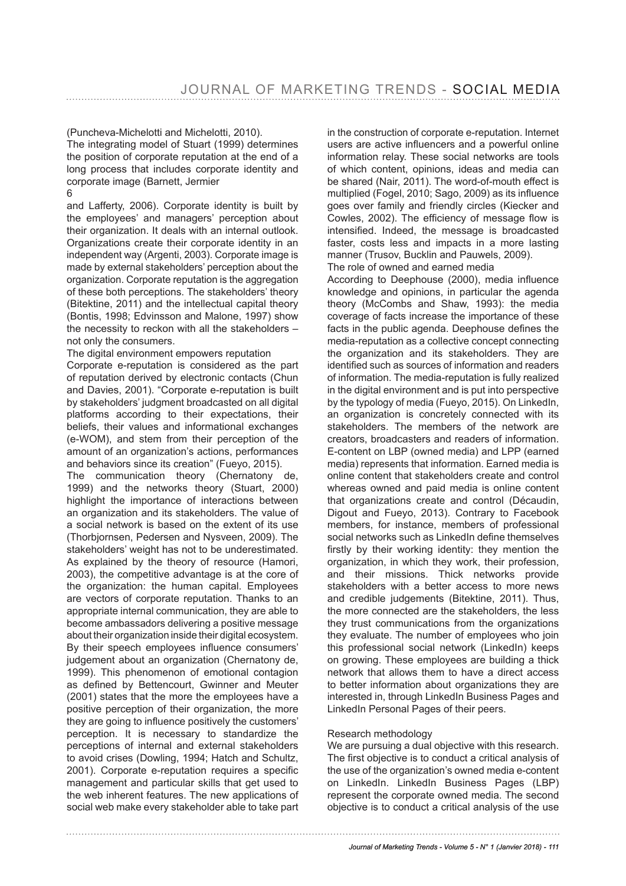(Puncheva-Michelotti and Michelotti, 2010).

The integrating model of Stuart (1999) determines the position of corporate reputation at the end of a long process that includes corporate identity and corporate image (Barnett, Jermier

6

and Lafferty, 2006). Corporate identity is built by the employees' and managers' perception about their organization. It deals with an internal outlook. Organizations create their corporate identity in an independent way (Argenti, 2003). Corporate image is made by external stakeholders' perception about the organization. Corporate reputation is the aggregation of these both perceptions. The stakeholders' theory (Bitektine, 2011) and the intellectual capital theory (Bontis, 1998; Edvinsson and Malone, 1997) show the necessity to reckon with all the stakeholders – not only the consumers.

The digital environment empowers reputation

Corporate e-reputation is considered as the part of reputation derived by electronic contacts (Chun and Davies, 2001). "Corporate e-reputation is built by stakeholders' judgment broadcasted on all digital platforms according to their expectations, their beliefs, their values and informational exchanges (e-WOM), and stem from their perception of the amount of an organization's actions, performances and behaviors since its creation" (Fueyo, 2015).

The communication theory (Chernatony de, 1999) and the networks theory (Stuart, 2000) highlight the importance of interactions between an organization and its stakeholders. The value of a social network is based on the extent of its use (Thorbjornsen, Pedersen and Nysveen, 2009). The stakeholders' weight has not to be underestimated. As explained by the theory of resource (Hamori, 2003), the competitive advantage is at the core of the organization: the human capital. Employees are vectors of corporate reputation. Thanks to an appropriate internal communication, they are able to become ambassadors delivering a positive message about their organization inside their digital ecosystem. By their speech employees infuence consumers' judgement about an organization (Chernatony de, 1999). This phenomenon of emotional contagion as defned by Bettencourt, Gwinner and Meuter (2001) states that the more the employees have a positive perception of their organization, the more they are going to infuence positively the customers' perception. It is necessary to standardize the perceptions of internal and external stakeholders to avoid crises (Dowling, 1994; Hatch and Schultz, 2001). Corporate e-reputation requires a specifc management and particular skills that get used to the web inherent features. The new applications of social web make every stakeholder able to take part

in the construction of corporate e-reputation. Internet users are active infuencers and a powerful online information relay. These social networks are tools of which content, opinions, ideas and media can be shared (Nair, 2011). The word-of-mouth effect is multiplied (Fogel, 2010; Sago, 2009) as its infuence goes over family and friendly circles (Kiecker and Cowles, 2002). The efficiency of message flow is intensifed. Indeed, the message is broadcasted faster, costs less and impacts in a more lasting manner (Trusov, Bucklin and Pauwels, 2009). The role of owned and earned media

According to Deephouse (2000), media infuence knowledge and opinions, in particular the agenda theory (McCombs and Shaw, 1993): the media coverage of facts increase the importance of these facts in the public agenda. Deephouse defnes the media-reputation as a collective concept connecting the organization and its stakeholders. They are identifed such as sources of information and readers of information. The media-reputation is fully realized in the digital environment and is put into perspective by the typology of media (Fueyo, 2015). On LinkedIn, an organization is concretely connected with its stakeholders. The members of the network are creators, broadcasters and readers of information. E-content on LBP (owned media) and LPP (earned media) represents that information. Earned media is online content that stakeholders create and control whereas owned and paid media is online content that organizations create and control (Décaudin, Digout and Fueyo, 2013). Contrary to Facebook members, for instance, members of professional social networks such as LinkedIn define themselves frstly by their working identity: they mention the organization, in which they work, their profession, and their missions. Thick networks provide stakeholders with a better access to more news and credible judgements (Bitektine, 2011). Thus, the more connected are the stakeholders, the less they trust communications from the organizations they evaluate. The number of employees who join this professional social network (LinkedIn) keeps on growing. These employees are building a thick network that allows them to have a direct access to better information about organizations they are interested in, through LinkedIn Business Pages and LinkedIn Personal Pages of their peers.

#### Research methodology

We are pursuing a dual objective with this research. The first objective is to conduct a critical analysis of the use of the organization's owned media e-content on LinkedIn. LinkedIn Business Pages (LBP) represent the corporate owned media. The second objective is to conduct a critical analysis of the use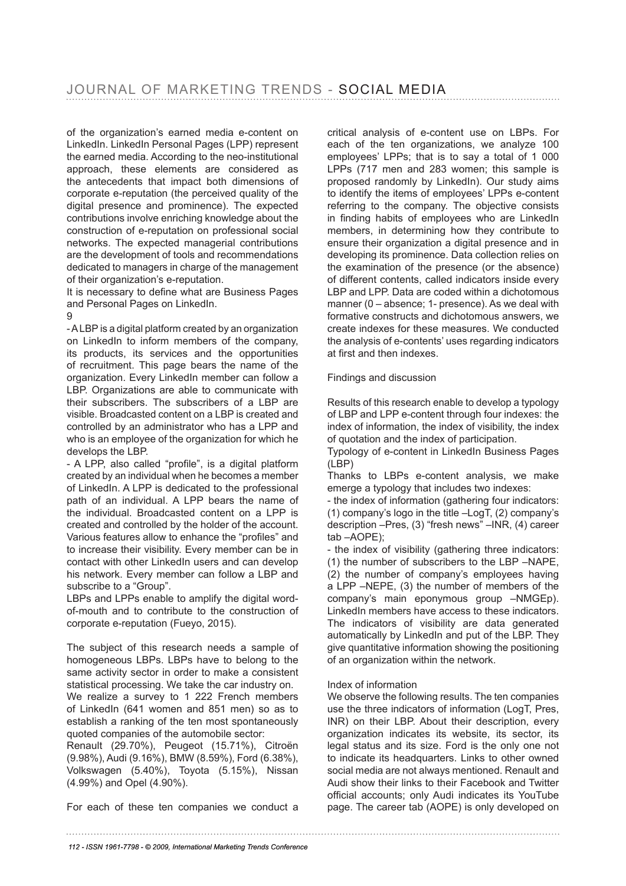of the organization's earned media e-content on LinkedIn. LinkedIn Personal Pages (LPP) represent the earned media. According to the neo-institutional approach, these elements are considered as the antecedents that impact both dimensions of corporate e-reputation (the perceived quality of the digital presence and prominence). The expected contributions involve enriching knowledge about the construction of e-reputation on professional social networks. The expected managerial contributions are the development of tools and recommendations dedicated to managers in charge of the management of their organization's e-reputation.

It is necessary to defne what are Business Pages and Personal Pages on LinkedIn.

9

- A LBP is a digital platform created by an organization on LinkedIn to inform members of the company, its products, its services and the opportunities of recruitment. This page bears the name of the organization. Every LinkedIn member can follow a LBP. Organizations are able to communicate with their subscribers. The subscribers of a LBP are visible. Broadcasted content on a LBP is created and controlled by an administrator who has a LPP and who is an employee of the organization for which he develops the LBP.

- A LPP, also called "profle", is a digital platform created by an individual when he becomes a member of LinkedIn. A LPP is dedicated to the professional path of an individual. A LPP bears the name of the individual. Broadcasted content on a LPP is created and controlled by the holder of the account. Various features allow to enhance the "profles" and to increase their visibility. Every member can be in contact with other LinkedIn users and can develop his network. Every member can follow a LBP and subscribe to a "Group".

LBPs and LPPs enable to amplify the digital wordof-mouth and to contribute to the construction of corporate e-reputation (Fueyo, 2015).

The subject of this research needs a sample of homogeneous LBPs. LBPs have to belong to the same activity sector in order to make a consistent statistical processing. We take the car industry on. We realize a survey to 1 222 French members of LinkedIn (641 women and 851 men) so as to establish a ranking of the ten most spontaneously quoted companies of the automobile sector:

Renault (29.70%), Peugeot (15.71%), Citroën (9.98%), Audi (9.16%), BMW (8.59%), Ford (6.38%), Volkswagen (5.40%), Toyota (5.15%), Nissan (4.99%) and Opel (4.90%).

For each of these ten companies we conduct a

critical analysis of e-content use on LBPs. For each of the ten organizations, we analyze 100 employees' LPPs; that is to say a total of 1 000 LPPs (717 men and 283 women; this sample is proposed randomly by LinkedIn). Our study aims to identify the items of employees' LPPs e-content referring to the company. The objective consists in finding habits of employees who are LinkedIn members, in determining how they contribute to ensure their organization a digital presence and in developing its prominence. Data collection relies on the examination of the presence (or the absence) of different contents, called indicators inside every LBP and LPP. Data are coded within a dichotomous manner (0 – absence; 1- presence). As we deal with formative constructs and dichotomous answers, we create indexes for these measures. We conducted the analysis of e-contents' uses regarding indicators at frst and then indexes.

Findings and discussion

Results of this research enable to develop a typology of LBP and LPP e-content through four indexes: the index of information, the index of visibility, the index of quotation and the index of participation.

Typology of e-content in LinkedIn Business Pages (LBP)

Thanks to LBPs e-content analysis, we make emerge a typology that includes two indexes:

- the index of information (gathering four indicators: (1) company's logo in the title –LogT, (2) company's description –Pres, (3) "fresh news" –INR, (4) career tab –AOPE);

- the index of visibility (gathering three indicators: (1) the number of subscribers to the LBP –NAPE, (2) the number of company's employees having a LPP –NEPE, (3) the number of members of the company's main eponymous group –NMGEp). LinkedIn members have access to these indicators. The indicators of visibility are data generated automatically by LinkedIn and put of the LBP. They give quantitative information showing the positioning of an organization within the network.

## Index of information

We observe the following results. The ten companies use the three indicators of information (LogT, Pres, INR) on their LBP. About their description, every organization indicates its website, its sector, its legal status and its size. Ford is the only one not to indicate its headquarters. Links to other owned social media are not always mentioned. Renault and Audi show their links to their Facebook and Twitter official accounts; only Audi indicates its YouTube page. The career tab (AOPE) is only developed on

*112 - ISSN 1961-7798 - © 2009, International Marketing Trends Conference*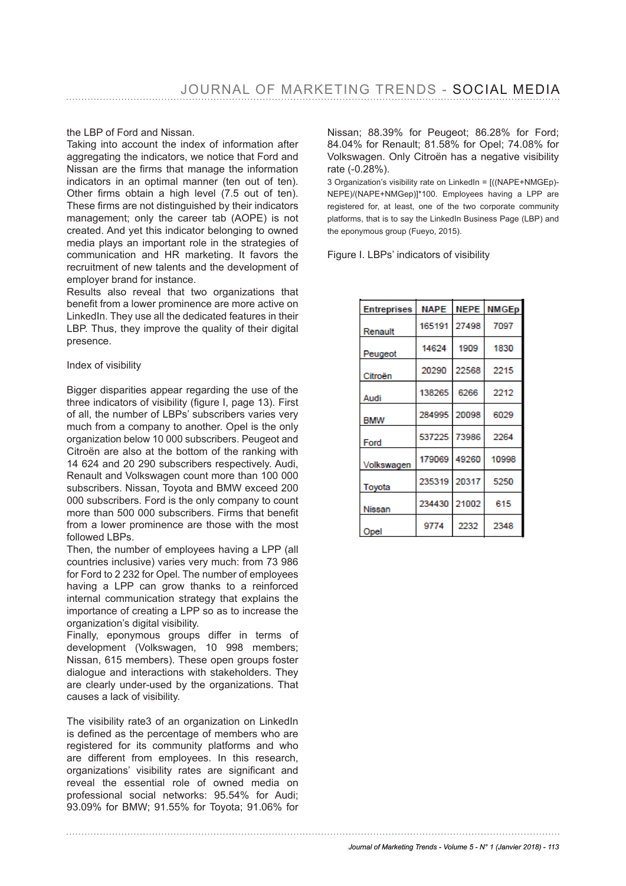the LBP of Ford and Nissan.

Taking into account the index of information after aggregating the indicators, we notice that Ford and Nissan are the frms that manage the information indicators in an optimal manner (ten out of ten). Other frms obtain a high level (7.5 out of ten). These frms are not distinguished by their indicators management; only the career tab (AOPE) is not created. And yet this indicator belonging to owned media plays an important role in the strategies of communication and HR marketing. It favors the recruitment of new talents and the development of employer brand for instance.

Results also reveal that two organizations that benefit from a lower prominence are more active on LinkedIn. They use all the dedicated features in their LBP. Thus, they improve the quality of their digital presence.

#### Index of visibility

Bigger disparities appear regarding the use of the three indicators of visibility (figure I, page 13). First of all, the number of LBPs' subscribers varies very much from a company to another. Opel is the only organization below 10 000 subscribers. Peugeot and Citroën are also at the bottom of the ranking with 14 624 and 20 290 subscribers respectively. Audi, Renault and Volkswagen count more than 100 000 subscribers. Nissan, Toyota and BMW exceed 200 000 subscribers. Ford is the only company to count more than 500 000 subscribers. Firms that beneft from a lower prominence are those with the most followed LBPs.

Then, the number of employees having a LPP (all countries inclusive) varies very much: from 73 986 for Ford to 2 232 for Opel. The number of employees having a LPP can grow thanks to a reinforced internal communication strategy that explains the importance of creating a LPP so as to increase the organization's digital visibility.

Finally, eponymous groups differ in terms of development (Volkswagen, 10 998 members; Nissan, 615 members). These open groups foster dialogue and interactions with stakeholders. They are clearly under-used by the organizations. That causes a lack of visibility.

The visibility rate3 of an organization on LinkedIn is defned as the percentage of members who are registered for its community platforms and who are different from employees. In this research, organizations' visibility rates are signifcant and reveal the essential role of owned media on professional social networks: 95.54% for Audi; 93.09% for BMW; 91.55% for Toyota; 91.06% for Nissan; 88.39% for Peugeot; 86.28% for Ford; 84.04% for Renault; 81.58% for Opel; 74.08% for Volkswagen. Only Citroën has a negative visibility rate (-0.28%).

3 Organization's visibility rate on LinkedIn = [((NAPE+NMGEp)- NEPE)/(NAPE+NMGep)]\*100. Employees having a LPP are registered for, at least, one of the two corporate community platforms, that is to say the LinkedIn Business Page (LBP) and the eponymous group (Fueyo, 2015).

Figure I. LBPs' indicators of visibility

| <b>Entreprises</b> | <b>NAPE</b> | <b>NEPE</b> | <b>NMGEp</b> |
|--------------------|-------------|-------------|--------------|
| Renault            | 165191      | 27498       | 7097         |
| Peugeot            | 14624       | 1909        | 1830         |
| Citroën            | 20290       | 22568       | 2215         |
| Audi               | 138265      | 6266        | 2212         |
| BMW                | 284995      | 20098       | 6029         |
| Ford               | 537225      | 73986       | 2264         |
| Volkswagen         | 179069      | 49260       | 10998        |
| Toyota             | 235319      | 20317       | 5250         |
| Nissan             | 234430      | 21002       | 615          |
| Opel               | 9774        | 2232        | 2348         |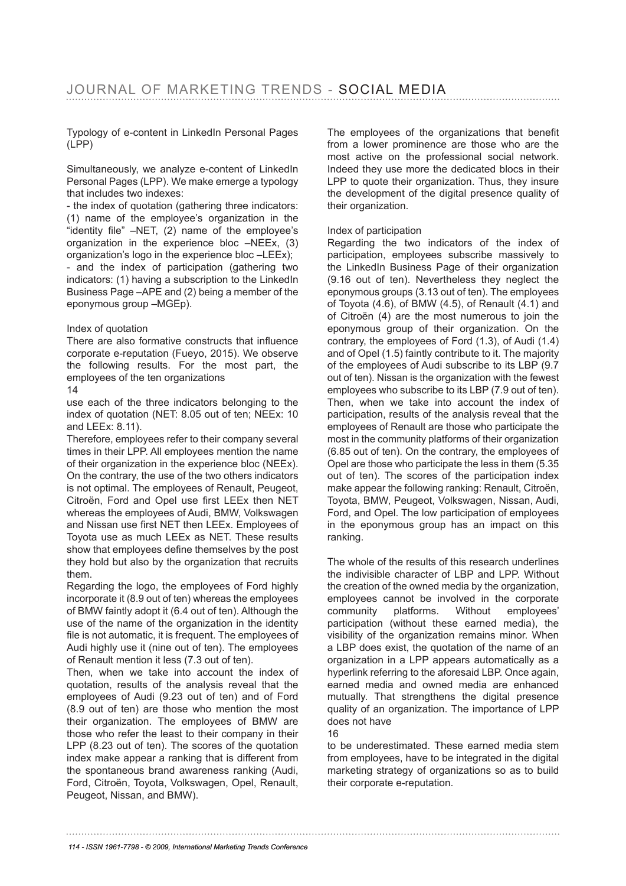Typology of e-content in LinkedIn Personal Pages (LPP)

Simultaneously, we analyze e-content of LinkedIn Personal Pages (LPP). We make emerge a typology that includes two indexes:

- the index of quotation (gathering three indicators: (1) name of the employee's organization in the "identity fle" –NET, (2) name of the employee's organization in the experience bloc –NEEx, (3) organization's logo in the experience bloc –LEEx); - and the index of participation (gathering two indicators: (1) having a subscription to the LinkedIn Business Page –APE and (2) being a member of the eponymous group –MGEp).

#### Index of quotation

There are also formative constructs that infuence corporate e-reputation (Fueyo, 2015). We observe the following results. For the most part, the employees of the ten organizations 14

use each of the three indicators belonging to the index of quotation (NET: 8.05 out of ten; NEEx: 10 and LEEx: 8.11).

Therefore, employees refer to their company several times in their LPP. All employees mention the name of their organization in the experience bloc (NEEx). On the contrary, the use of the two others indicators is not optimal. The employees of Renault, Peugeot, Citroën, Ford and Opel use frst LEEx then NET whereas the employees of Audi, BMW, Volkswagen and Nissan use frst NET then LEEx. Employees of Toyota use as much LEEx as NET. These results show that employees defne themselves by the post they hold but also by the organization that recruits them.

Regarding the logo, the employees of Ford highly incorporate it (8.9 out of ten) whereas the employees of BMW faintly adopt it (6.4 out of ten). Although the use of the name of the organization in the identity fle is not automatic, it is frequent. The employees of Audi highly use it (nine out of ten). The employees of Renault mention it less (7.3 out of ten).

Then, when we take into account the index of quotation, results of the analysis reveal that the employees of Audi (9.23 out of ten) and of Ford (8.9 out of ten) are those who mention the most their organization. The employees of BMW are those who refer the least to their company in their LPP (8.23 out of ten). The scores of the quotation index make appear a ranking that is different from the spontaneous brand awareness ranking (Audi, Ford, Citroën, Toyota, Volkswagen, Opel, Renault, Peugeot, Nissan, and BMW).

The employees of the organizations that benefit from a lower prominence are those who are the most active on the professional social network. Indeed they use more the dedicated blocs in their LPP to quote their organization. Thus, they insure the development of the digital presence quality of their organization.

#### Index of participation

Regarding the two indicators of the index of participation, employees subscribe massively to the LinkedIn Business Page of their organization (9.16 out of ten). Nevertheless they neglect the eponymous groups (3.13 out of ten). The employees of Toyota (4.6), of BMW (4.5), of Renault (4.1) and of Citroën (4) are the most numerous to join the eponymous group of their organization. On the contrary, the employees of Ford (1.3), of Audi (1.4) and of Opel (1.5) faintly contribute to it. The majority of the employees of Audi subscribe to its LBP (9.7 out of ten). Nissan is the organization with the fewest employees who subscribe to its LBP (7.9 out of ten). Then, when we take into account the index of participation, results of the analysis reveal that the employees of Renault are those who participate the most in the community platforms of their organization (6.85 out of ten). On the contrary, the employees of Opel are those who participate the less in them (5.35 out of ten). The scores of the participation index make appear the following ranking: Renault, Citroën, Toyota, BMW, Peugeot, Volkswagen, Nissan, Audi, Ford, and Opel. The low participation of employees in the eponymous group has an impact on this ranking.

The whole of the results of this research underlines the indivisible character of LBP and LPP. Without the creation of the owned media by the organization, employees cannot be involved in the corporate community platforms. Without employees' participation (without these earned media), the visibility of the organization remains minor. When a LBP does exist, the quotation of the name of an organization in a LPP appears automatically as a hyperlink referring to the aforesaid LBP. Once again, earned media and owned media are enhanced mutually. That strengthens the digital presence quality of an organization. The importance of LPP does not have 16

to be underestimated. These earned media stem from employees, have to be integrated in the digital marketing strategy of organizations so as to build their corporate e-reputation.

*114 - ISSN 1961-7798 - © 2009, International Marketing Trends Conference*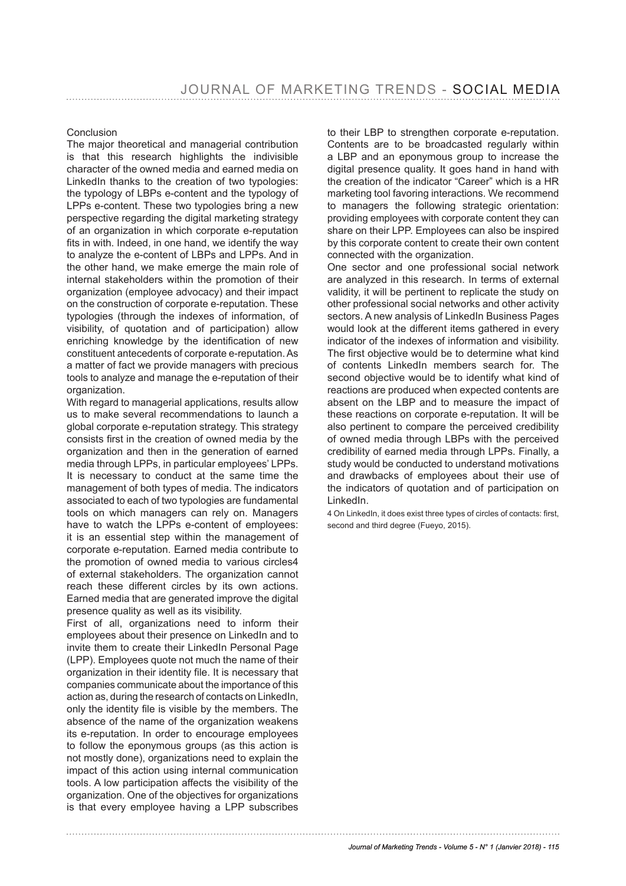#### Conclusion

The major theoretical and managerial contribution is that this research highlights the indivisible character of the owned media and earned media on LinkedIn thanks to the creation of two typologies: the typology of LBPs e-content and the typology of LPPs e-content. These two typologies bring a new perspective regarding the digital marketing strategy of an organization in which corporate e-reputation fits in with. Indeed, in one hand, we identify the way to analyze the e-content of LBPs and LPPs. And in the other hand, we make emerge the main role of internal stakeholders within the promotion of their organization (employee advocacy) and their impact on the construction of corporate e-reputation. These typologies (through the indexes of information, of visibility, of quotation and of participation) allow enriching knowledge by the identification of new constituent antecedents of corporate e-reputation. As a matter of fact we provide managers with precious tools to analyze and manage the e-reputation of their organization.

With regard to managerial applications, results allow us to make several recommendations to launch a global corporate e-reputation strategy. This strategy consists first in the creation of owned media by the organization and then in the generation of earned media through LPPs, in particular employees' LPPs. It is necessary to conduct at the same time the management of both types of media. The indicators associated to each of two typologies are fundamental tools on which managers can rely on. Managers have to watch the LPPs e-content of employees: it is an essential step within the management of corporate e-reputation. Earned media contribute to the promotion of owned media to various circles4 of external stakeholders. The organization cannot reach these different circles by its own actions. Earned media that are generated improve the digital presence quality as well as its visibility.

First of all, organizations need to inform their employees about their presence on LinkedIn and to invite them to create their LinkedIn Personal Page (LPP). Employees quote not much the name of their organization in their identity fle. It is necessary that companies communicate about the importance of this action as, during the research of contacts on LinkedIn, only the identity fle is visible by the members. The absence of the name of the organization weakens its e-reputation. In order to encourage employees to follow the eponymous groups (as this action is not mostly done), organizations need to explain the impact of this action using internal communication tools. A low participation affects the visibility of the organization. One of the objectives for organizations is that every employee having a LPP subscribes

to their LBP to strengthen corporate e-reputation. Contents are to be broadcasted regularly within a LBP and an eponymous group to increase the digital presence quality. It goes hand in hand with the creation of the indicator "Career" which is a HR marketing tool favoring interactions. We recommend to managers the following strategic orientation: providing employees with corporate content they can share on their LPP. Employees can also be inspired by this corporate content to create their own content connected with the organization.

One sector and one professional social network are analyzed in this research. In terms of external validity, it will be pertinent to replicate the study on other professional social networks and other activity sectors. A new analysis of LinkedIn Business Pages would look at the different items gathered in every indicator of the indexes of information and visibility. The first objective would be to determine what kind of contents LinkedIn members search for. The second objective would be to identify what kind of reactions are produced when expected contents are absent on the LBP and to measure the impact of these reactions on corporate e-reputation. It will be also pertinent to compare the perceived credibility of owned media through LBPs with the perceived credibility of earned media through LPPs. Finally, a study would be conducted to understand motivations and drawbacks of employees about their use of the indicators of quotation and of participation on LinkedIn.

4 On LinkedIn, it does exist three types of circles of contacts: frst, second and third degree (Fueyo, 2015).

*Journal of Marketing Trends - Volume 5 - N° 1 (Janvier 2018) - 115*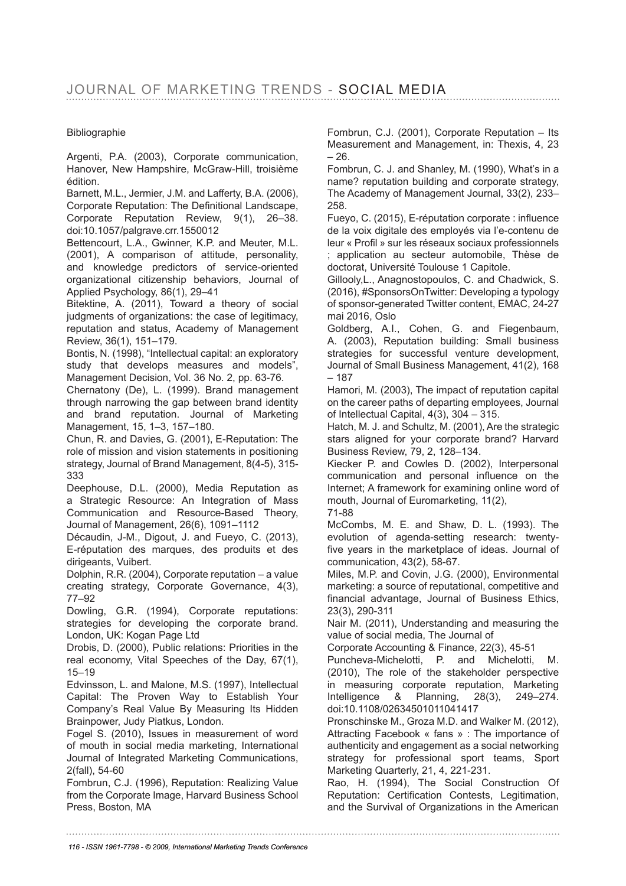## Bibliographie

Argenti, P.A. (2003), Corporate communication, Hanover, New Hampshire, McGraw-Hill, troisième édition.

Barnett, M.L., Jermier, J.M. and Lafferty, B.A. (2006), Corporate Reputation: The Defnitional Landscape, Corporate Reputation Review, 9(1), 26–38. doi:10.1057/palgrave.crr.1550012

Bettencourt, L.A., Gwinner, K.P. and Meuter, M.L. (2001), A comparison of attitude, personality, and knowledge predictors of service-oriented organizational citizenship behaviors, Journal of Applied Psychology, 86(1), 29–41

Bitektine, A. (2011), Toward a theory of social judgments of organizations: the case of legitimacy, reputation and status, Academy of Management Review, 36(1), 151–179.

Bontis, N. (1998), "Intellectual capital: an exploratory study that develops measures and models", Management Decision, Vol. 36 No. 2, pp. 63-76.

Chernatony (De), L. (1999). Brand management through narrowing the gap between brand identity and brand reputation. Journal of Marketing Management, 15, 1–3, 157–180.

Chun, R. and Davies, G. (2001), E-Reputation: The role of mission and vision statements in positioning strategy, Journal of Brand Management, 8(4-5), 315- 333

Deephouse, D.L. (2000), Media Reputation as a Strategic Resource: An Integration of Mass Communication and Resource-Based Theory, Journal of Management, 26(6), 1091–1112

Décaudin, J-M., Digout, J. and Fueyo, C. (2013), E-réputation des marques, des produits et des dirigeants, Vuibert.

Dolphin, R.R. (2004), Corporate reputation – a value creating strategy, Corporate Governance, 4(3), 77–92

Dowling, G.R. (1994), Corporate reputations: strategies for developing the corporate brand. London, UK: Kogan Page Ltd

Drobis, D. (2000), Public relations: Priorities in the real economy, Vital Speeches of the Day, 67(1), 15–19

Edvinsson, L. and Malone, M.S. (1997), Intellectual Capital: The Proven Way to Establish Your Company's Real Value By Measuring Its Hidden Brainpower, Judy Piatkus, London.

Fogel S. (2010), Issues in measurement of word of mouth in social media marketing, International Journal of Integrated Marketing Communications, 2(fall), 54-60

Fombrun, C.J. (1996), Reputation: Realizing Value from the Corporate Image, Harvard Business School Press, Boston, MA

Fombrun, C.J. (2001), Corporate Reputation – Its Measurement and Management, in: Thexis, 4, 23 – 26.

Fombrun, C. J. and Shanley, M. (1990), What's in a name? reputation building and corporate strategy, The Academy of Management Journal, 33(2), 233– 258.

Fueyo, C. (2015), E-réputation corporate : infuence de la voix digitale des employés via l'e-contenu de leur « Profl » sur les réseaux sociaux professionnels ; application au secteur automobile, Thèse de doctorat, Université Toulouse 1 Capitole.

Gillooly,L., Anagnostopoulos, C. and Chadwick, S. (2016), #SponsorsOnTwitter: Developing a typology of sponsor-generated Twitter content, EMAC, 24-27 mai 2016, Oslo

Goldberg, A.I., Cohen, G. and Fiegenbaum, A. (2003), Reputation building: Small business strategies for successful venture development, Journal of Small Business Management, 41(2), 168 – 187

Hamori, M. (2003), The impact of reputation capital on the career paths of departing employees, Journal of Intellectual Capital, 4(3), 304 – 315.

Hatch, M. J. and Schultz, M. (2001), Are the strategic stars aligned for your corporate brand? Harvard Business Review, 79, 2, 128–134.

Kiecker P. and Cowles D. (2002), Interpersonal communication and personal infuence on the Internet; A framework for examining online word of mouth, Journal of Euromarketing, 11(2), 71-88

McCombs, M. E. and Shaw, D. L. (1993). The evolution of agenda-setting research: twentyfive years in the marketplace of ideas. Journal of communication, 43(2), 58-67.

Miles, M.P. and Covin, J.G. (2000), Environmental marketing: a source of reputational, competitive and fnancial advantage, Journal of Business Ethics, 23(3), 290-311

Nair M. (2011), Understanding and measuring the value of social media, The Journal of

Corporate Accounting & Finance, 22(3), 45-51

Puncheva-Michelotti, P. and Michelotti, M. (2010), The role of the stakeholder perspective in measuring corporate reputation, Marketing Intelligence & Planning, 28(3), 249–274. doi:10.1108/02634501011041417

Pronschinske M., Groza M.D. and Walker M. (2012), Attracting Facebook « fans » : The importance of authenticity and engagement as a social networking strategy for professional sport teams, Sport Marketing Quarterly, 21, 4, 221-231.

Rao, H. (1994), The Social Construction Of Reputation: Certification Contests, Legitimation, and the Survival of Organizations in the American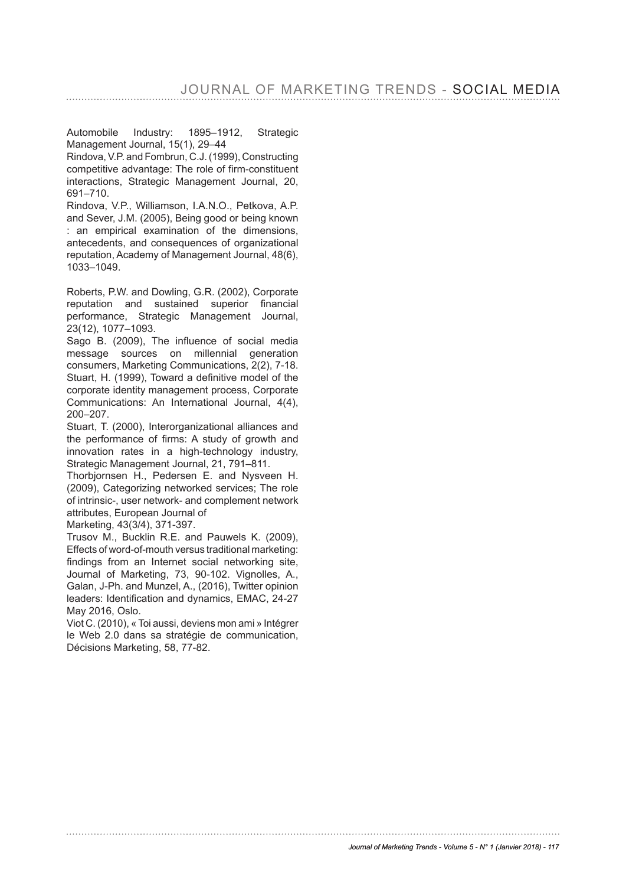Automobile Industry: 1895–1912, Strategic Management Journal, 15(1), 29–44

Rindova, V.P. and Fombrun, C.J. (1999), Constructing competitive advantage: The role of frm-constituent interactions, Strategic Management Journal, 20, 691–710.

Rindova, V.P., Williamson, I.A.N.O., Petkova, A.P. and Sever, J.M. (2005), Being good or being known : an empirical examination of the dimensions, antecedents, and consequences of organizational reputation, Academy of Management Journal, 48(6), 1033–1049.

Roberts, P.W. and Dowling, G.R. (2002), Corporate reputation and sustained superior fnancial performance, Strategic Management Journal, 23(12), 1077–1093.

Sago B. (2009), The infuence of social media message sources on millennial generation consumers, Marketing Communications, 2(2), 7-18. Stuart, H. (1999), Toward a definitive model of the corporate identity management process, Corporate Communications: An International Journal, 4(4), 200–207.

Stuart, T. (2000), Interorganizational alliances and the performance of firms: A study of growth and innovation rates in a high-technology industry, Strategic Management Journal, 21, 791–811.

Thorbjornsen H., Pedersen E. and Nysveen H. (2009), Categorizing networked services; The role of intrinsic-, user network- and complement network attributes, European Journal of

Marketing, 43(3/4), 371-397.

Trusov M., Bucklin R.E. and Pauwels K. (2009), Effects of word-of-mouth versus traditional marketing: fndings from an Internet social networking site, Journal of Marketing, 73, 90-102. Vignolles, A., Galan, J-Ph. and Munzel, A., (2016), Twitter opinion leaders: Identifcation and dynamics, EMAC, 24-27 May 2016, Oslo.

Viot C. (2010), « Toi aussi, deviens mon ami » Intégrer le Web 2.0 dans sa stratégie de communication, Décisions Marketing, 58, 77-82.